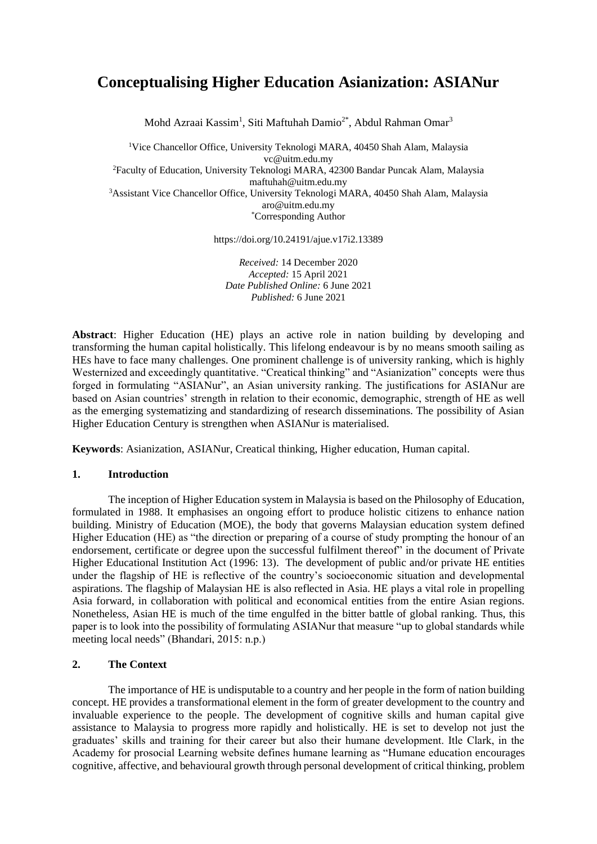# **Conceptualising Higher Education Asianization: ASIANur**

Mohd Azraai Kassim<sup>1</sup>, Siti Maftuhah Damio<sup>2\*</sup>, Abdul Rahman Omar<sup>3</sup>

<sup>1</sup>Vice Chancellor Office, University Teknologi MARA, 40450 Shah Alam, Malaysia [vc@uitm.edu.my](mailto:vc@uitm.edu.my)

<sup>2</sup>Faculty of Education, University Teknologi MARA, 42300 Bandar Puncak Alam, Malaysia [maftuhah@uitm.edu.my](mailto:maftuhah@uitm.edu.my)

<sup>3</sup>Assistant Vice Chancellor Office, University Teknologi MARA, 40450 Shah Alam, Malaysia [aro@uitm.edu.my](mailto:aro@uitm.edu.my)

\*Corresponding Author

https://doi.org/10.24191/ajue.v17i2.13389

*Received:* 14 December 2020 *Accepted:* 15 April 2021 *Date Published Online:* 6 June 2021 *Published:* 6 June 2021

**Abstract**: Higher Education (HE) plays an active role in nation building by developing and transforming the human capital holistically. This lifelong endeavour is by no means smooth sailing as HEs have to face many challenges. One prominent challenge is of university ranking, which is highly Westernized and exceedingly quantitative. "Creatical thinking" and "Asianization" concepts were thus forged in formulating "ASIANur", an Asian university ranking. The justifications for ASIANur are based on Asian countries' strength in relation to their economic, demographic, strength of HE as well as the emerging systematizing and standardizing of research disseminations. The possibility of Asian Higher Education Century is strengthen when ASIANur is materialised.

**Keywords**: Asianization, ASIANur, Creatical thinking, Higher education, Human capital.

#### **1. Introduction**

The inception of Higher Education system in Malaysia is based on the Philosophy of Education, formulated in 1988. It emphasises an ongoing effort to produce holistic citizens to enhance nation building. Ministry of Education (MOE), the body that governs Malaysian education system defined Higher Education (HE) as "the direction or preparing of a course of study prompting the honour of an endorsement, certificate or degree upon the successful fulfilment thereof" in the document of Private Higher Educational Institution Act (1996: 13). The development of public and/or private HE entities under the flagship of HE is reflective of the country's socioeconomic situation and developmental aspirations. The flagship of Malaysian HE is also reflected in Asia. HE plays a vital role in propelling Asia forward, in collaboration with political and economical entities from the entire Asian regions. Nonetheless, Asian HE is much of the time engulfed in the bitter battle of global ranking. Thus, this paper is to look into the possibility of formulating ASIANur that measure "up to global standards while meeting local needs" (Bhandari, 2015: n.p.)

## **2. The Context**

The importance of HE is undisputable to a country and her people in the form of nation building concept. HE provides a transformational element in the form of greater development to the country and invaluable experience to the people. The development of cognitive skills and human capital give assistance to Malaysia to progress more rapidly and holistically. HE is set to develop not just the graduates' skills and training for their career but also their humane development. Itle Clark, in the Academy for prosocial Learning website defines humane learning as "Humane education encourages cognitive, affective, and behavioural growth through personal development of critical thinking, problem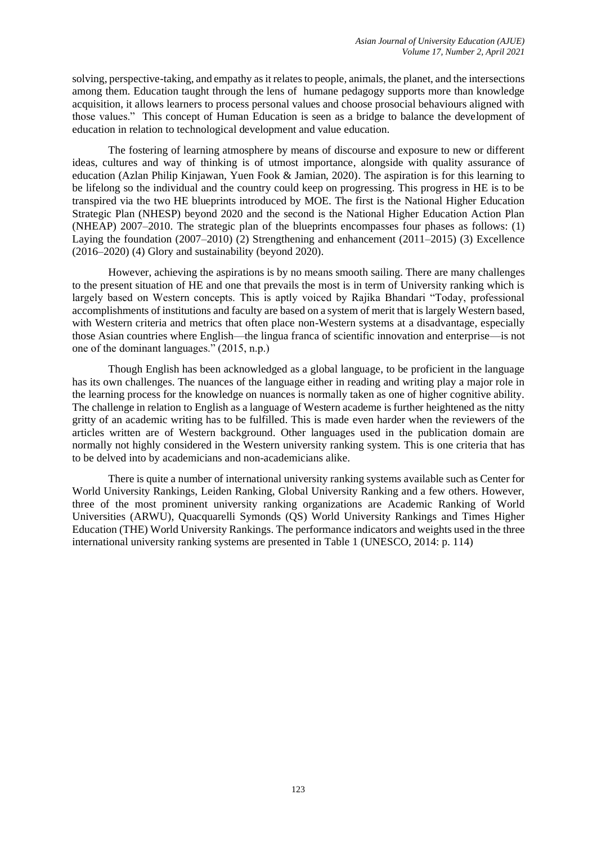solving, perspective-taking, and empathy as it relates to people, animals, the planet, and the intersections among them. Education taught through the lens of humane pedagogy supports more than knowledge acquisition, it allows learners to process personal values and choose prosocial behaviours aligned with those values." This concept of Human Education is seen as a bridge to balance the development of education in relation to technological development and value education.

The fostering of learning atmosphere by means of discourse and exposure to new or different ideas, cultures and way of thinking is of utmost importance, alongside with quality assurance of education (Azlan Philip Kinjawan, Yuen Fook & Jamian, 2020). The aspiration is for this learning to be lifelong so the individual and the country could keep on progressing. This progress in HE is to be transpired via the two HE blueprints introduced by MOE. The first is the National Higher Education Strategic Plan (NHESP) beyond 2020 and the second is the National Higher Education Action Plan (NHEAP) 2007–2010. The strategic plan of the blueprints encompasses four phases as follows: (1) Laying the foundation (2007–2010) (2) Strengthening and enhancement (2011–2015) (3) Excellence (2016–2020) (4) Glory and sustainability (beyond 2020).

However, achieving the aspirations is by no means smooth sailing. There are many challenges to the present situation of HE and one that prevails the most is in term of University ranking which is largely based on Western concepts. This is aptly voiced by Rajika Bhandari "Today, professional accomplishments of institutions and faculty are based on a system of merit that is largely Western based, with Western criteria and metrics that often place non-Western systems at a disadvantage, especially those Asian countries where English—the lingua franca of scientific innovation and enterprise—is not one of the dominant languages." (2015, n.p.)

Though English has been acknowledged as a global language, to be proficient in the language has its own challenges. The nuances of the language either in reading and writing play a major role in the learning process for the knowledge on nuances is normally taken as one of higher cognitive ability. The challenge in relation to English as a language of Western academe is further heightened as the nitty gritty of an academic writing has to be fulfilled. This is made even harder when the reviewers of the articles written are of Western background. Other languages used in the publication domain are normally not highly considered in the Western university ranking system. This is one criteria that has to be delved into by academicians and non-academicians alike.

There is quite a number of international university ranking systems available such as Center for World University Rankings, Leiden Ranking, Global University Ranking and a few others. However, three of the most prominent university ranking organizations are Academic Ranking of World Universities (ARWU), Quacquarelli Symonds (QS) World University Rankings and Times Higher Education (THE) World University Rankings. The performance indicators and weights used in the three international university ranking systems are presented in Table 1 (UNESCO, 2014: p. 114)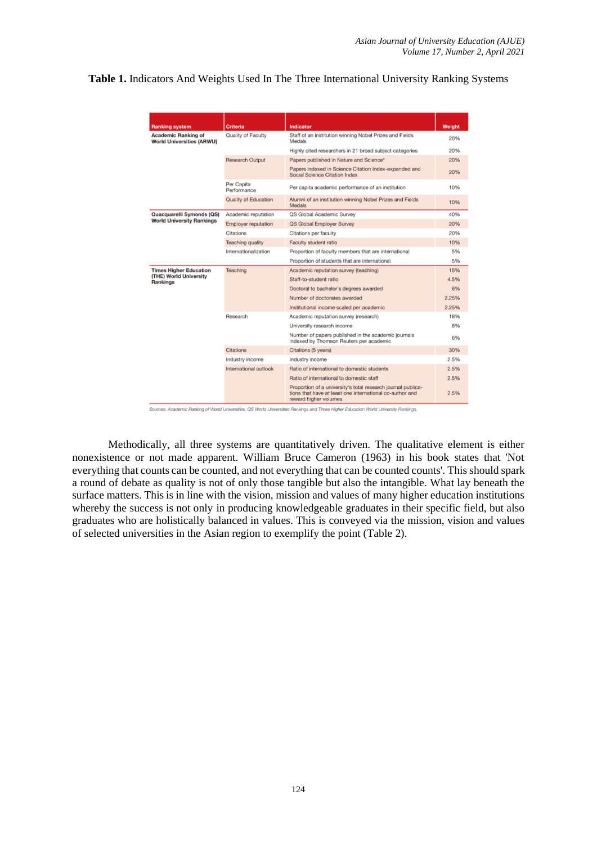| Table 1. Indicators And Weights Used In The Three International University Ranking Systems |  |
|--------------------------------------------------------------------------------------------|--|
|--------------------------------------------------------------------------------------------|--|

| <b>Ranking system</b>                                                      | <b>Criteria</b>                                                              | <b>Indicator</b>                                                                                                                                  | Weight |  |
|----------------------------------------------------------------------------|------------------------------------------------------------------------------|---------------------------------------------------------------------------------------------------------------------------------------------------|--------|--|
| <b>Academic Ranking of</b><br><b>World Universities (ARWU)</b>             | Quality of Faculty                                                           | Staff of an institution winning Nobel Prizes and Fields<br>Medals                                                                                 | 20%    |  |
|                                                                            |                                                                              | Highly cited researchers in 21 broad subject categories                                                                                           | 20%    |  |
|                                                                            | <b>Research Output</b>                                                       | Papers published in Nature and Science*                                                                                                           | 20%    |  |
|                                                                            |                                                                              | Papers indexed in Science Citation Index-expanded and<br>Social Science Citation Index                                                            | 20%    |  |
|                                                                            | Per Capita<br>Performance                                                    | Per capita academic performance of an institution                                                                                                 | 10%    |  |
|                                                                            | <b>Quality of Education</b>                                                  | Alumni of an institution winning Nobel Prizes and Fields<br>Medals                                                                                | 10%    |  |
| Quacquarelli Symonds (QS)                                                  | Academic reputation                                                          | QS Global Academic Survey                                                                                                                         | 40%    |  |
| <b>World University Rankings</b>                                           | <b>Employer reputation</b>                                                   | QS Global Employer Survey                                                                                                                         | 20%    |  |
|                                                                            | Citations                                                                    | Citations per faculty                                                                                                                             | 20%    |  |
|                                                                            | <b>Teaching quality</b>                                                      | Faculty student ratio                                                                                                                             | 10%    |  |
|                                                                            | Internationalization<br>Proportion of faculty members that are international |                                                                                                                                                   | 5%     |  |
|                                                                            |                                                                              | Proportion of students that are international                                                                                                     | 5%     |  |
| <b>Times Higher Education</b><br>(THE) World University<br><b>Rankings</b> | Teaching                                                                     | Academic reputation survey (teaching)                                                                                                             | 15%    |  |
|                                                                            |                                                                              | Staff-to-student ratio                                                                                                                            | 4.5%   |  |
|                                                                            |                                                                              | Doctoral to bachelor's degrees awarded                                                                                                            | 6%     |  |
|                                                                            |                                                                              | Number of doctorates awarded                                                                                                                      | 2.25%  |  |
|                                                                            |                                                                              | Institutional income scaled per academic                                                                                                          | 2.25%  |  |
|                                                                            | Research                                                                     | Academic reputation survey (research)                                                                                                             | 18%    |  |
|                                                                            |                                                                              | University research income                                                                                                                        | 6%     |  |
|                                                                            |                                                                              | Number of papers published in the academic journals<br>indexed by Thomson Reuters per academic                                                    | 6%     |  |
|                                                                            | Citations                                                                    | Citations (5 years)                                                                                                                               | 30%    |  |
|                                                                            | Industry income                                                              | Industry income                                                                                                                                   | 2.5%   |  |
|                                                                            | International outlook                                                        | Ratio of international to domestic students                                                                                                       | 2.5%   |  |
|                                                                            |                                                                              | Ratio of international to domestic staff                                                                                                          | 2.5%   |  |
|                                                                            |                                                                              | Proportion of a university's total research journal publica-<br>tions that have at least one international co-author and<br>reward higher volumes | 2.5%   |  |

Sources: Academic Ranking of World Universities, QS World Universities Rankings and Times Higher Education World University Rankings.

Methodically, all three systems are quantitatively driven. The qualitative element is either nonexistence or not made apparent. William Bruce Cameron (1963) in his book states that 'Not everything that counts can be counted, and not everything that can be counted counts'. This should spark a round of debate as quality is not of only those tangible but also the intangible. What lay beneath the surface matters. This is in line with the vision, mission and values of many higher education institutions whereby the success is not only in producing knowledgeable graduates in their specific field, but also graduates who are holistically balanced in values. This is conveyed via the mission, vision and values of selected universities in the Asian region to exemplify the point (Table 2).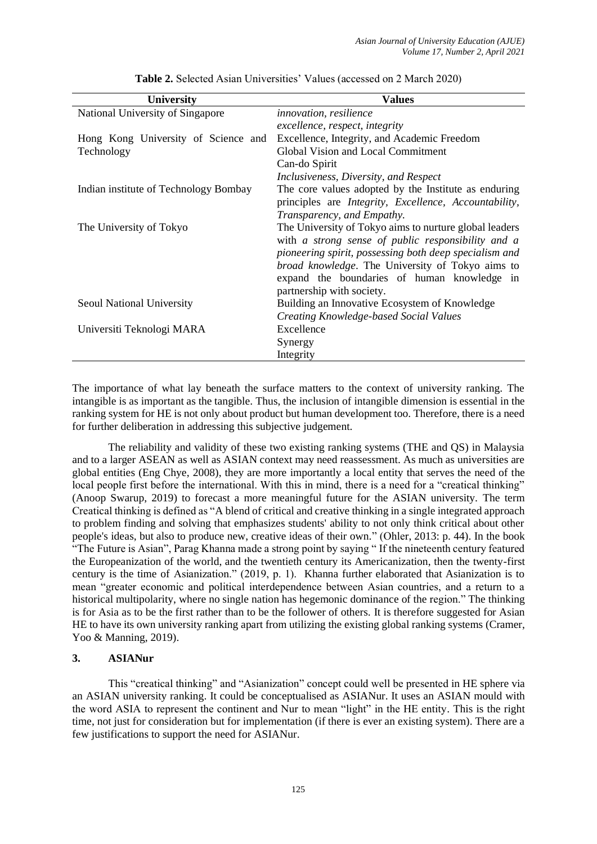| <b>University</b>                     | <b>Values</b>                                                                 |  |  |  |
|---------------------------------------|-------------------------------------------------------------------------------|--|--|--|
| National University of Singapore      | <i>innovation, resilience</i>                                                 |  |  |  |
|                                       | excellence, respect, integrity                                                |  |  |  |
| Hong Kong University of Science and   | Excellence, Integrity, and Academic Freedom                                   |  |  |  |
| Technology                            | Global Vision and Local Commitment                                            |  |  |  |
|                                       | Can-do Spirit                                                                 |  |  |  |
|                                       | Inclusiveness, Diversity, and Respect                                         |  |  |  |
| Indian institute of Technology Bombay | The core values adopted by the Institute as enduring                          |  |  |  |
|                                       | principles are <i>Integrity</i> , <i>Excellence</i> , <i>Accountability</i> , |  |  |  |
|                                       | Transparency, and Empathy.                                                    |  |  |  |
| The University of Tokyo               | The University of Tokyo aims to nurture global leaders                        |  |  |  |
|                                       | with a strong sense of public responsibility and a                            |  |  |  |
|                                       | pioneering spirit, possessing both deep specialism and                        |  |  |  |
|                                       | broad knowledge. The University of Tokyo aims to                              |  |  |  |
|                                       | expand the boundaries of human knowledge in                                   |  |  |  |
|                                       | partnership with society.                                                     |  |  |  |
| Seoul National University             | Building an Innovative Ecosystem of Knowledge                                 |  |  |  |
|                                       | Creating Knowledge-based Social Values                                        |  |  |  |
| Universiti Teknologi MARA             | Excellence                                                                    |  |  |  |
|                                       | Synergy                                                                       |  |  |  |
|                                       | Integrity                                                                     |  |  |  |

**Table 2.** Selected Asian Universities' Values (accessed on 2 March 2020)

The importance of what lay beneath the surface matters to the context of university ranking. The intangible is as important as the tangible. Thus, the inclusion of intangible dimension is essential in the ranking system for HE is not only about product but human development too. Therefore, there is a need for further deliberation in addressing this subjective judgement.

The reliability and validity of these two existing ranking systems (THE and QS) in Malaysia and to a larger ASEAN as well as ASIAN context may need reassessment. As much as universities are global entities (Eng Chye, 2008), they are more importantly a local entity that serves the need of the local people first before the international. With this in mind, there is a need for a "creatical thinking" (Anoop Swarup, 2019) to forecast a more meaningful future for the ASIAN university. The term Creatical thinking is defined as "A blend of critical and creative thinking in a single integrated approach to problem finding and solving that emphasizes students' ability to not only think critical about other people's ideas, but also to produce new, creative ideas of their own." (Ohler, 2013: p. 44). In the book "The Future is Asian", Parag Khanna made a strong point by saying " If the nineteenth century featured the Europeanization of the world, and the twentieth century its Americanization, then the twenty-first century is the time of Asianization." (2019, p. 1). Khanna further elaborated that Asianization is to mean "greater economic and political interdependence between Asian countries, and a return to a historical multipolarity, where no single nation has hegemonic dominance of the region." The thinking is for Asia as to be the first rather than to be the follower of others. It is therefore suggested for Asian HE to have its own university ranking apart from utilizing the existing global ranking systems (Cramer, Yoo & Manning, 2019).

#### **3. ASIANur**

This "creatical thinking" and "Asianization" concept could well be presented in HE sphere via an ASIAN university ranking. It could be conceptualised as ASIANur. It uses an ASIAN mould with the word ASIA to represent the continent and Nur to mean "light" in the HE entity. This is the right time, not just for consideration but for implementation (if there is ever an existing system). There are a few justifications to support the need for ASIANur.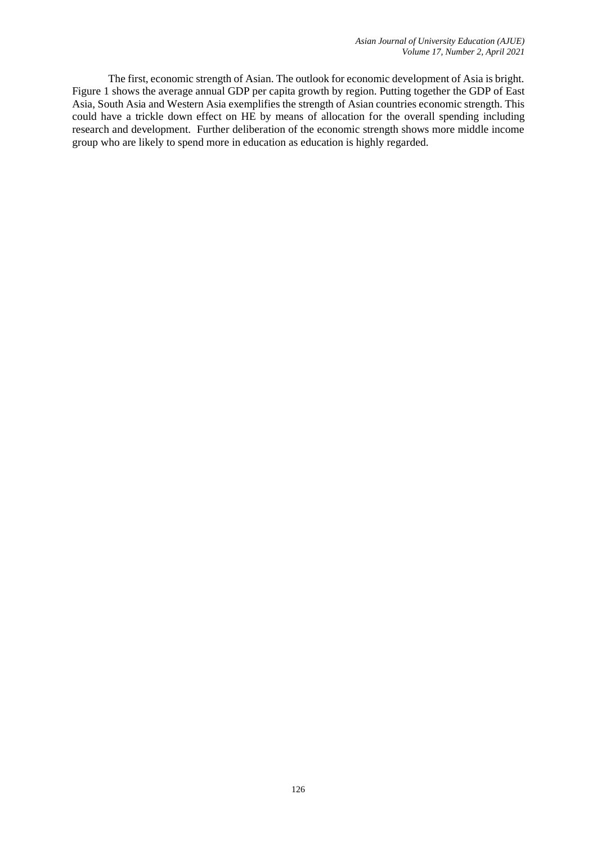The first, economic strength of Asian. The outlook for economic development of Asia is bright. Figure 1 shows the average annual GDP per capita growth by region. Putting together the GDP of East Asia, South Asia and Western Asia exemplifies the strength of Asian countries economic strength. This could have a trickle down effect on HE by means of allocation for the overall spending including research and development. Further deliberation of the economic strength shows more middle income group who are likely to spend more in education as education is highly regarded.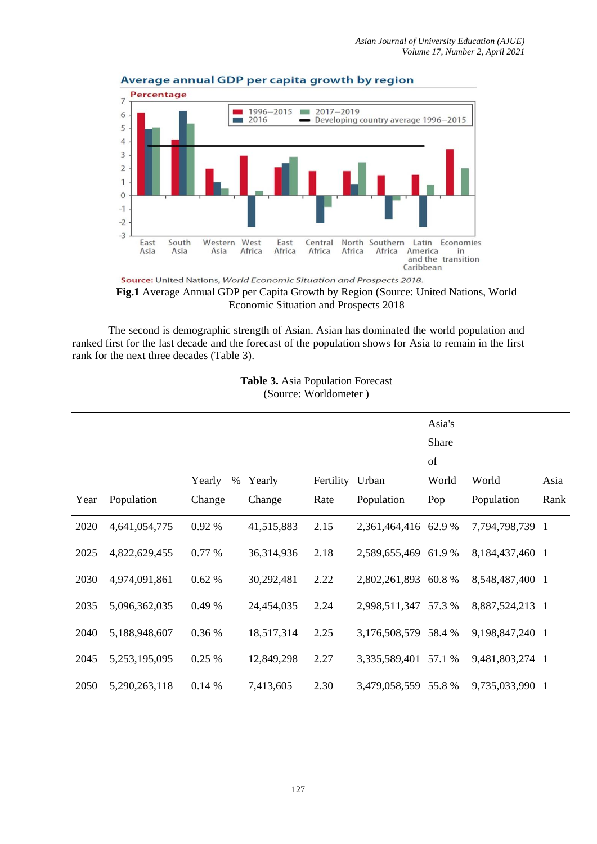

#### Average annual GDP per capita growth by region

Source: United Nations, World Economic Situation and Prospects 2018. **Fig.1** Average Annual GDP per Capita Growth by Region (Source: United Nations, World Economic Situation and Prospects 2018

The second is demographic strength of Asian. Asian has dominated the world population and ranked first for the last decade and the forecast of the population shows for Asia to remain in the first rank for the next three decades (Table 3).

|      | $\overline{1}$ |                |            |           |                      |        |                 |      |  |  |
|------|----------------|----------------|------------|-----------|----------------------|--------|-----------------|------|--|--|
|      |                |                |            |           |                      | Asia's |                 |      |  |  |
|      |                |                |            |           |                      | Share  |                 |      |  |  |
|      |                |                |            |           |                      | of     |                 |      |  |  |
|      |                | Yearly<br>$\%$ | Yearly     | Fertility | Urban                | World  | World           | Asia |  |  |
| Year | Population     | Change         | Change     | Rate      | Population           | Pop    | Population      | Rank |  |  |
| 2020 | 4,641,054,775  | 0.92 %         | 41,515,883 | 2.15      | 2,361,464,416 62.9 % |        | 7,794,798,739 1 |      |  |  |
| 2025 | 4,822,629,455  | 0.77 %         | 36,314,936 | 2.18      | 2,589,655,469 61.9 % |        | 8,184,437,460 1 |      |  |  |
| 2030 | 4,974,091,861  | 0.62%          | 30,292,481 | 2.22      | 2,802,261,893 60.8 % |        | 8,548,487,400 1 |      |  |  |
| 2035 | 5,096,362,035  | 0.49 %         | 24,454,035 | 2.24      | 2,998,511,347 57.3 % |        | 8,887,524,213 1 |      |  |  |
| 2040 | 5,188,948,607  | 0.36 %         | 18,517,314 | 2.25      | 3,176,508,579 58.4 % |        | 9,198,847,240 1 |      |  |  |
| 2045 | 5,253,195,095  | 0.25 %         | 12,849,298 | 2.27      | 3,335,589,401 57.1 % |        | 9,481,803,274 1 |      |  |  |
| 2050 | 5,290,263,118  | 0.14%          | 7,413,605  | 2.30      | 3,479,058,559 55.8 % |        | 9,735,033,990 1 |      |  |  |

**Table 3.** Asia Population Forecast (Source: Worldometer )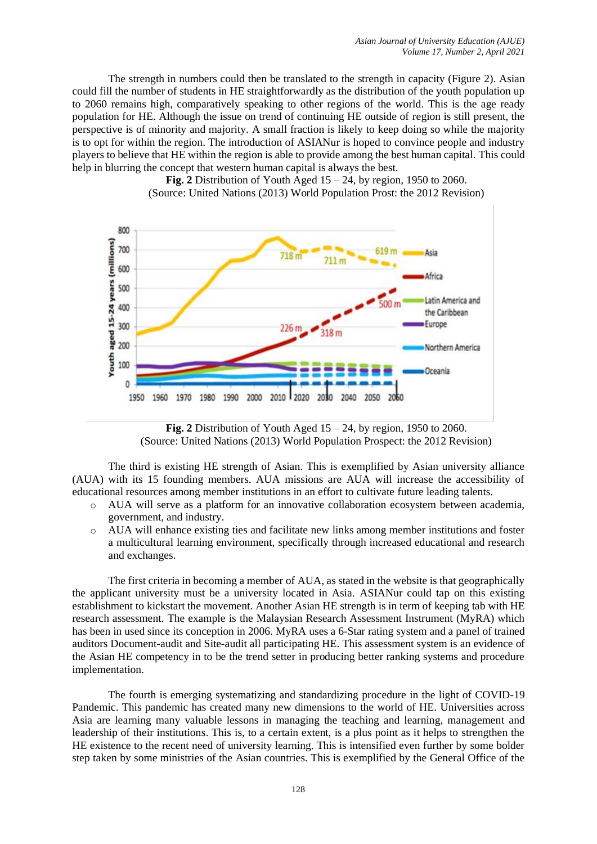The strength in numbers could then be translated to the strength in capacity (Figure 2). Asian could fill the number of students in HE straightforwardly as the distribution of the youth population up to 2060 remains high, comparatively speaking to other regions of the world. This is the age ready population for HE. Although the issue on trend of continuing HE outside of region is still present, the perspective is of minority and majority. A small fraction is likely to keep doing so while the majority is to opt for within the region. The introduction of ASIANur is hoped to convince people and industry players to believe that HE within the region is able to provide among the best human capital. This could help in blurring the concept that western human capital is always the best.



**Fig. 2** Distribution of Youth Aged  $15 - 24$ , by region, 1950 to 2060. (Source: United Nations (2013) World Population Prost: the 2012 Revision)

**Fig. 2** Distribution of Youth Aged  $15 - 24$ , by region, 1950 to 2060. (Source: United Nations (2013) World Population Prospect: the 2012 Revision)

The third is existing HE strength of Asian. This is exemplified by Asian university alliance (AUA) with its 15 founding members. AUA missions are AUA will increase the accessibility of educational resources among member institutions in an effort to cultivate future leading talents.

- o AUA will serve as a platform for an innovative collaboration ecosystem between academia, government, and industry.
- o AUA will enhance existing ties and facilitate new links among member institutions and foster a multicultural learning environment, specifically through increased educational and research and exchanges.

The first criteria in becoming a member of AUA, as stated in the website is that geographically the applicant university must be a university located in Asia. ASIANur could tap on this existing establishment to kickstart the movement. Another Asian HE strength is in term of keeping tab with HE research assessment. The example is the Malaysian Research Assessment Instrument (MyRA) which has been in used since its conception in 2006. MyRA uses a 6-Star rating system and a panel of trained auditors Document-audit and Site-audit all participating HE. This assessment system is an evidence of the Asian HE competency in to be the trend setter in producing better ranking systems and procedure implementation.

The fourth is emerging systematizing and standardizing procedure in the light of COVID-19 Pandemic. This pandemic has created many new dimensions to the world of HE. Universities across Asia are learning many valuable lessons in managing the teaching and learning, management and leadership of their institutions. This is, to a certain extent, is a plus point as it helps to strengthen the HE existence to the recent need of university learning. This is intensified even further by some bolder step taken by some ministries of the Asian countries. This is exemplified by the General Office of the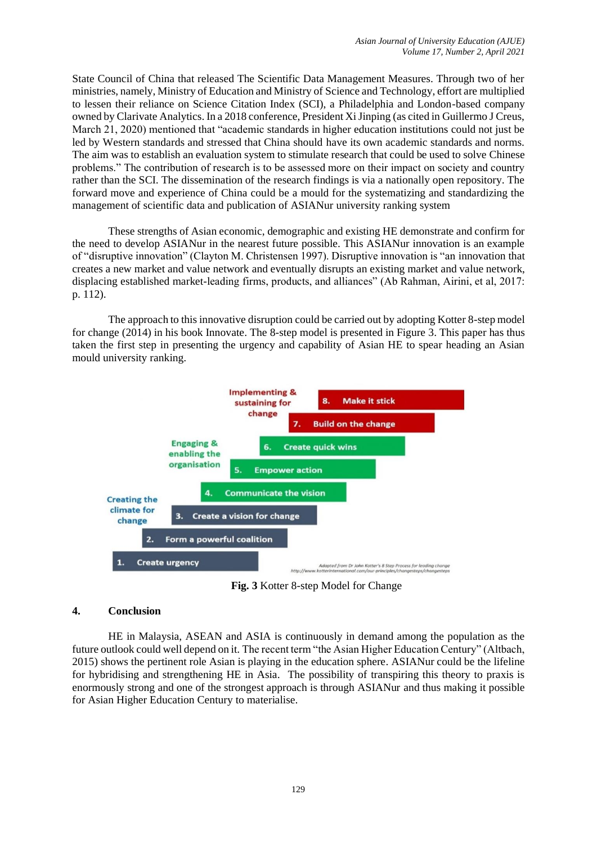State Council of China that released The Scientific Data Management Measures. Through two of her ministries, namely, Ministry of Education and Ministry of Science and Technology, effort are multiplied to lessen their reliance on Science Citation Index (SCI), a Philadelphia and London-based company owned by Clarivate Analytics. In a 2018 conference, President Xi Jinping (as cited in Guillermo J Creus, March 21, 2020) mentioned that "academic standards in higher education institutions could not just be led by Western standards and stressed that China should have its own academic standards and norms. The aim was to establish an evaluation system to stimulate research that could be used to solve Chinese problems." The contribution of research is to be assessed more on their impact on society and country rather than the SCI. The dissemination of the research findings is via a nationally open repository. The forward move and experience of China could be a mould for the systematizing and standardizing the management of scientific data and publication of ASIANur university ranking system

These strengths of Asian economic, demographic and existing HE demonstrate and confirm for the need to develop ASIANur in the nearest future possible. This ASIANur innovation is an example of "disruptive innovation" (Clayton M. Christensen 1997). Disruptive innovation is "an [innovation](https://en.wikipedia.org/wiki/Innovation) that creates a new [market](https://en.wikipedia.org/wiki/Market_(economics)) and [value network](https://en.wikipedia.org/wiki/Value_network) and eventually disrupts an existing market and value network, displacing established market-leading firms, products, and alliances" (Ab Rahman, Airini, et al, 2017: p. 112).

The approach to this innovative disruption could be carried out by adopting Kotter 8-step model for change (2014) in his book Innovate. The 8-step model is presented in Figure 3. This paper has thus taken the first step in presenting the urgency and capability of Asian HE to spear heading an Asian mould university ranking.



**Fig. 3** Kotter 8-step Model for Change

### **4. Conclusion**

HE in Malaysia, ASEAN and ASIA is continuously in demand among the population as the future outlook could well depend on it. The recent term "the Asian Higher Education Century" (Altbach, 2015) shows the pertinent role Asian is playing in the education sphere. ASIANur could be the lifeline for hybridising and strengthening HE in Asia. The possibility of transpiring this theory to praxis is enormously strong and one of the strongest approach is through ASIANur and thus making it possible for Asian Higher Education Century to materialise.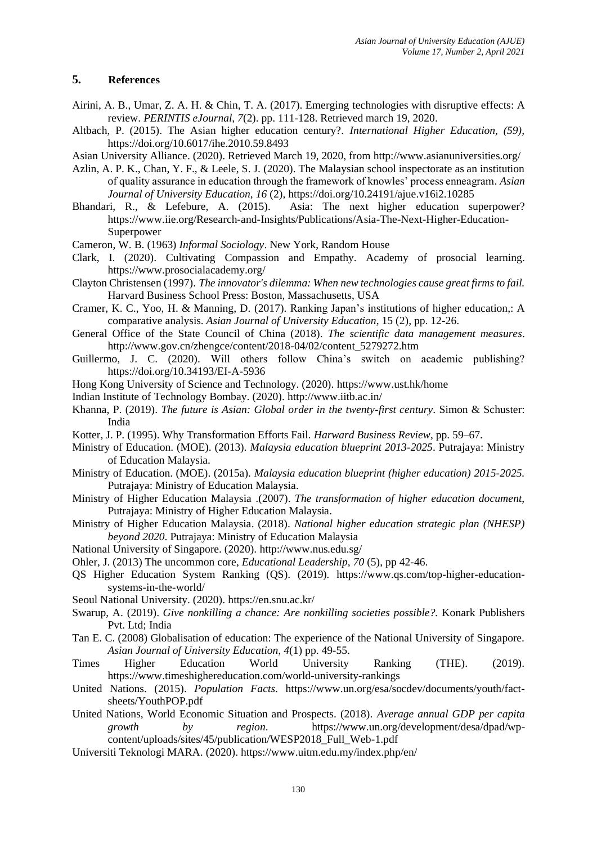## **5. References**

- Airini, A. B., Umar, Z. A. H. & Chin, T. A. (2017). Emerging technologies with disruptive effects: A review. *PERINTIS eJournal, 7*(2). pp. 111-128. Retrieved march 19, 2020.
- Altbach, P. (2015). The Asian higher education century?. *International Higher Education, (59),* <https://doi.org/10.6017/ihe.2010.59.8493>
- Asian University Alliance. (2020). Retrieved March 19, 2020, from<http://www.asianuniversities.org/>
- Azlin, A. P. K., Chan, Y. F., & Leele, S. J. (2020). The Malaysian school inspectorate as an institution of quality assurance in education through the framework of knowles' process enneagram. *Asian Journal of University Education, 16* (2),<https://doi.org/10.24191/ajue.v16i2.10285>
- Bhandari, R., & Lefebure, A. (2015). Asia: The next higher education superpower? [https://www.iie.org/Research-and-Insights/Publications/Asia-The-Next-Higher-Education-](https://www.iie.org/Research-and-Insights/Publications/Asia-The-Next-Higher-Education-Superpower)[Superpower](https://www.iie.org/Research-and-Insights/Publications/Asia-The-Next-Higher-Education-Superpower)
- Cameron, W. B. (1963) *Informal Sociology*. New York, Random House
- Clark, I. (2020). Cultivating Compassion and Empathy. Academy of prosocial learning. <https://www.prosocialacademy.org/>
- Clayton Christensen (1997). *[The innovator's dilemma: When new technologies cause great firms to fail.](https://archive.org/details/innovatorsdilem000chri)* [Harvard Business School Press:](https://en.wikipedia.org/wiki/Harvard_Business_School_Press) Boston, Massachusetts, USA
- Cramer, K. C., Yoo, H. & Manning, D. (2017). Ranking Japan's institutions of higher education,: A comparative analysis. *Asian Journal of University Education*, 15 (2), pp. 12-26.
- General Office of the State Council of China (2018). *The scientific data management measures*. [http://www.gov.cn/zhengce/content/2018-04/02/content\\_5279272.htm](http://www.gov.cn/zhengce/content/2018-04/02/content_5279272.htm)
- [Guillermo,](https://www.universityworldnews.com/fullsearch.php?mode=search&writer=Guillermo+J+Creus) J. C. (2020). Will others follow China's switch on academic publishing? <https://doi.org/10.34193/EI-A-5936>
- Hong Kong University of Science and Technology. (2020).<https://www.ust.hk/home>
- Indian Institute of Technology Bombay. (2020).<http://www.iitb.ac.in/>
- Khanna, P. (2019). *The future is Asian: Global order in the twenty-first century*. Simon & Schuster: India
- Kotter, J. P. (1995). Why Transformation Efforts Fail. *Harward Business Review*, pp. 59–67.
- Ministry of Education. (MOE). (2013). *Malaysia education blueprint 2013-2025*. Putrajaya: Ministry of Education Malaysia.
- Ministry of Education. (MOE). (2015a). *Malaysia education blueprint (higher education) 2015-2025.* Putrajaya: Ministry of Education Malaysia.
- Ministry of Higher Education Malaysia .(2007). *The transformation of higher education document,* Putrajaya: Ministry of Higher Education Malaysia.
- Ministry of Higher Education Malaysia. (2018). *National higher education strategic plan (NHESP) beyond 2020*. Putrajaya: Ministry of Education Malaysia
- National University of Singapore. (2020)[. http://www.nus.edu.sg/](http://www.nus.edu.sg/)
- Ohler, J. (2013) The uncommon core, *Educational Leadership*, *70* (5), pp 42-46.
- QS Higher Education System Ranking (QS). (2019). [https://www.qs.com/top-higher-education](https://www.qs.com/top-higher-education-systems-in-the-world/)[systems-in-the-world/](https://www.qs.com/top-higher-education-systems-in-the-world/)
- Seoul National University. (2020).<https://en.snu.ac.kr/>
- Swarup, A. (2019). *Give nonkilling a chance: Are nonkilling societies possible?.* Konark Publishers Pvt. Ltd; India
- Tan E. C. (2008) Globalisation of education: The experience of the National University of Singapore. *Asian Journal of University Education*, *4*(1) pp. 49-55.
- Times Higher Education World University Ranking (THE). (2019). <https://www.timeshighereducation.com/world-university-rankings>
- United Nations. (2015). *Population Facts*. [https://www.un.org/esa/socdev/documents/youth/fact](https://www.un.org/esa/socdev/documents/youth/fact-sheets/YouthPOP.pdf)[sheets/YouthPOP.pdf](https://www.un.org/esa/socdev/documents/youth/fact-sheets/YouthPOP.pdf)
- United Nations, World Economic Situation and Prospects. (2018). *Average annual GDP per capita growth by region*. [https://www.un.org/development/desa/dpad/wp](https://www.un.org/development/desa/dpad/wp-content/uploads/sites/45/publication/WESP2018_Full_Web-1.pdf)[content/uploads/sites/45/publication/WESP2018\\_Full\\_Web-1.pdf](https://www.un.org/development/desa/dpad/wp-content/uploads/sites/45/publication/WESP2018_Full_Web-1.pdf)
- Universiti Teknologi MARA. (2020).<https://www.uitm.edu.my/index.php/en/>